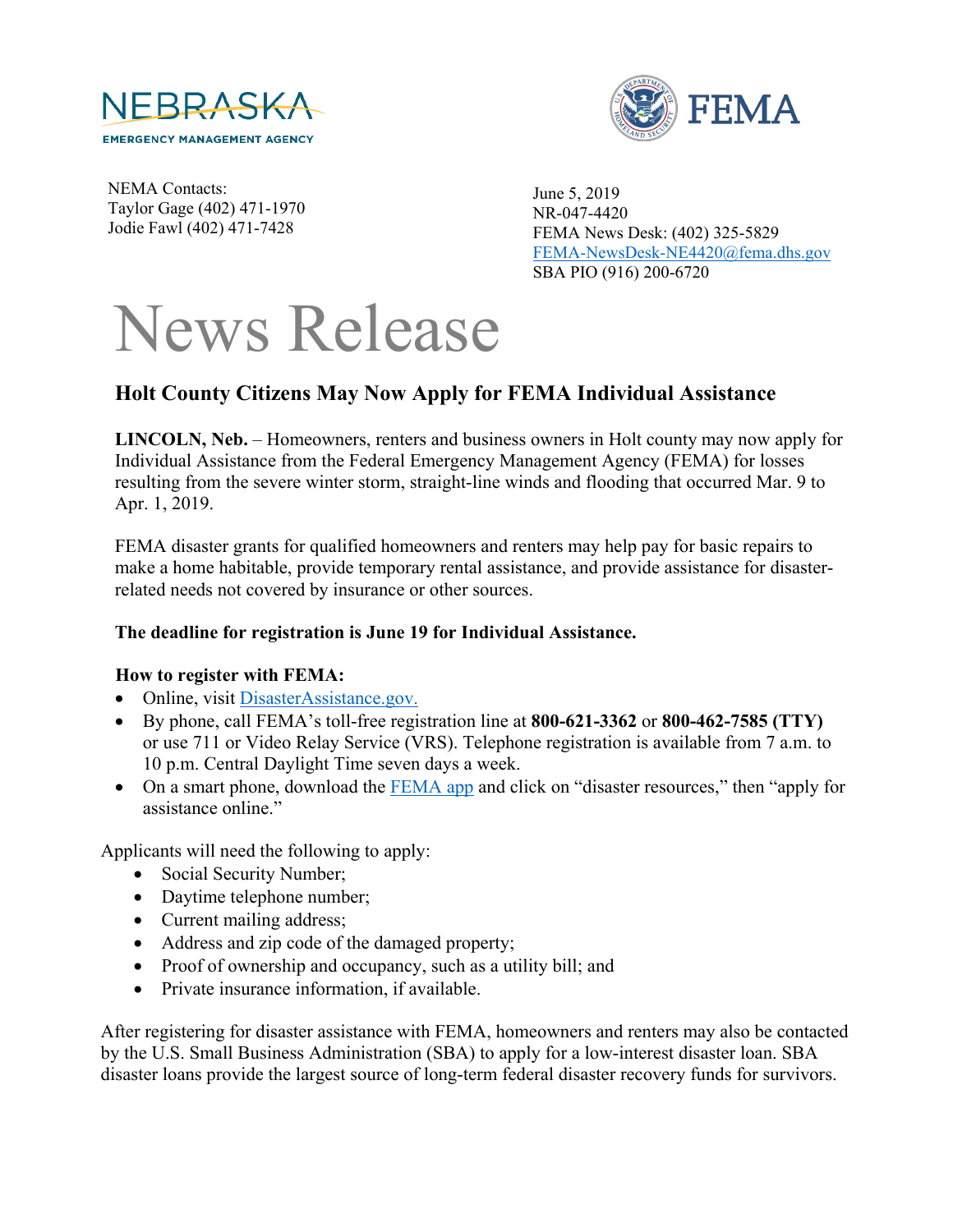



NEMA Contacts: Taylor Gage (402) 471-1970 Jodie Fawl (402) 471-7428

June 5, 2019 NR-047-4420 FEMA News Desk: (402) 325-5829 [FEMA-NewsDesk-NE4420@fema.dhs.gov](mailto:FEMA-NewsDesk-NE4420@fema.dhs.gov) SBA PIO (916) 200-6720

## News Release

## **Holt County Citizens May Now Apply for FEMA Individual Assistance**

**LINCOLN, Neb.** – Homeowners, renters and business owners in Holt county may now apply for Individual Assistance from the Federal Emergency Management Agency (FEMA) for losses resulting from the severe winter storm, straight-line winds and flooding that occurred Mar. 9 to Apr. 1, 2019.

FEMA disaster grants for qualified homeowners and renters may help pay for basic repairs to make a home habitable, provide temporary rental assistance, and provide assistance for disasterrelated needs not covered by insurance or other sources.

## **The deadline for registration is June 19 for Individual Assistance.**

## **How to register with FEMA:**

- Online, visit [DisasterAssistance.gov.](http://www.disasterassistance.gov/)
- By phone, call FEMA's toll-free registration line at **800-621-3362** or **800-462-7585 (TTY)** or use 711 or Video Relay Service (VRS). Telephone registration is available from 7 a.m. to 10 p.m. Central Daylight Time seven days a week.
- On a smart phone, download the **[FEMA app](https://www.fema.gov/mobile-app)** and click on "disaster resources," then "apply for assistance online."

Applicants will need the following to apply:

- Social Security Number;
- Daytime telephone number;
- Current mailing address;
- Address and zip code of the damaged property;
- Proof of ownership and occupancy, such as a utility bill; and
- Private insurance information, if available.

After registering for disaster assistance with FEMA, homeowners and renters may also be contacted by the U.S. Small Business Administration (SBA) to apply for a low-interest disaster loan. SBA disaster loans provide the largest source of long-term federal disaster recovery funds for survivors.